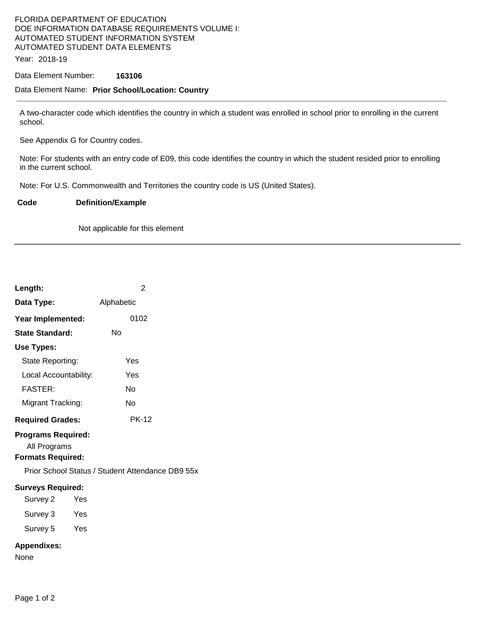# FLORIDA DEPARTMENT OF EDUCATION DOE INFORMATION DATABASE REQUIREMENTS VOLUME I: AUTOMATED STUDENT INFORMATION SYSTEM AUTOMATED STUDENT DATA ELEMENTS

Year: 2018-19

### Data Element Number: **163106**

#### Data Element Name: **Prior School/Location: Country**

A two-character code which identifies the country in which a student was enrolled in school prior to enrolling in the current school.

See Appendix G for Country codes.

Note: For students with an entry code of E09, this code identifies the country in which the student resided prior to enrolling in the current school.

Note: For U.S. Commonwealth and Territories the country code is US (United States).

#### **Code Definition/Example**

Not applicable for this element

| Length:                                                               | $\overline{2}$                                   |
|-----------------------------------------------------------------------|--------------------------------------------------|
| Data Type:                                                            | Alphabetic                                       |
| Year Implemented:                                                     | 0102                                             |
| <b>State Standard:</b>                                                | Nο                                               |
| <b>Use Types:</b>                                                     |                                                  |
| State Reporting:                                                      | Yes                                              |
| Local Accountability:                                                 | Yes                                              |
| <b>FASTER:</b>                                                        | Nο                                               |
| Migrant Tracking:                                                     | Nο                                               |
| <b>Required Grades:</b>                                               | <b>PK-12</b>                                     |
| <b>Programs Required:</b><br>All Programs<br><b>Formats Required:</b> | Prior School Status / Student Attendance DB9 55x |
| <b>Surveys Required:</b>                                              |                                                  |
| Survey 2<br>Yes                                                       |                                                  |
| Survey 3<br>Yes                                                       |                                                  |
| Survey 5 Yes                                                          |                                                  |
| <b>Appendixes:</b><br>None                                            |                                                  |